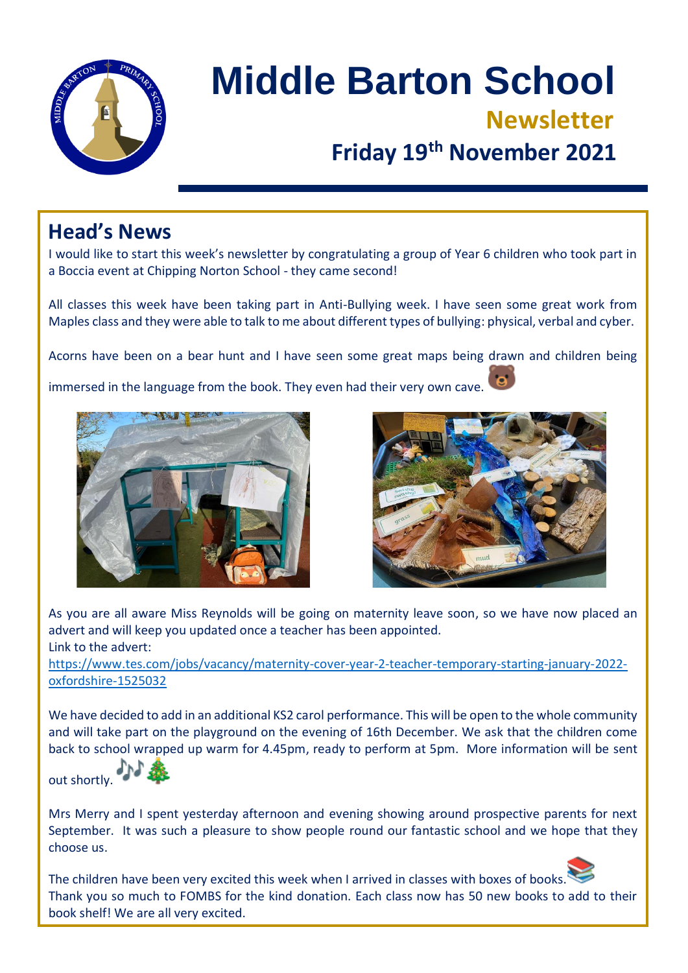

# **Middle Barton School Newsletter Friday 19th November 2021**

### **Head's News**

I would like to start this week's newsletter by congratulating a group of Year 6 children who took part in a Boccia event at Chipping Norton School - they came second!

All classes this week have been taking part in Anti-Bullying week. I have seen some great work from Maples class and they were able to talk to me about different types of bullying: physical, verbal and cyber.

Acorns have been on a bear hunt and I have seen some great maps being drawn and children being

immersed in the language from the book. They even had their very own cave.





As you are all aware Miss Reynolds will be going on maternity leave soon, so we have now placed an advert and will keep you updated once a teacher has been appointed. Link to the advert:

[https://www.tes.com/jobs/vacancy/maternity-cover-year-2-teacher-temporary-starting-january-2022](https://www.tes.com/jobs/vacancy/maternity-cover-year-2-teacher-temporary-starting-january-2022-oxfordshire-1525032) [oxfordshire-1525032](https://www.tes.com/jobs/vacancy/maternity-cover-year-2-teacher-temporary-starting-january-2022-oxfordshire-1525032)

We have decided to add in an additional KS2 carol performance. This will be open to the whole community and will take part on the playground on the evening of 16th December. We ask that the children come back to school wrapped up warm for 4.45pm, ready to perform at 5pm. More information will be sent

out shortly.



Mrs Merry and I spent yesterday afternoon and evening showing around prospective parents for next September. It was such a pleasure to show people round our fantastic school and we hope that they choose us.

The children have been very excited this week when I arrived in classes with boxes of books Thank you so much to FOMBS for the kind donation. Each class now has 50 new books to add to their book shelf! We are all very excited.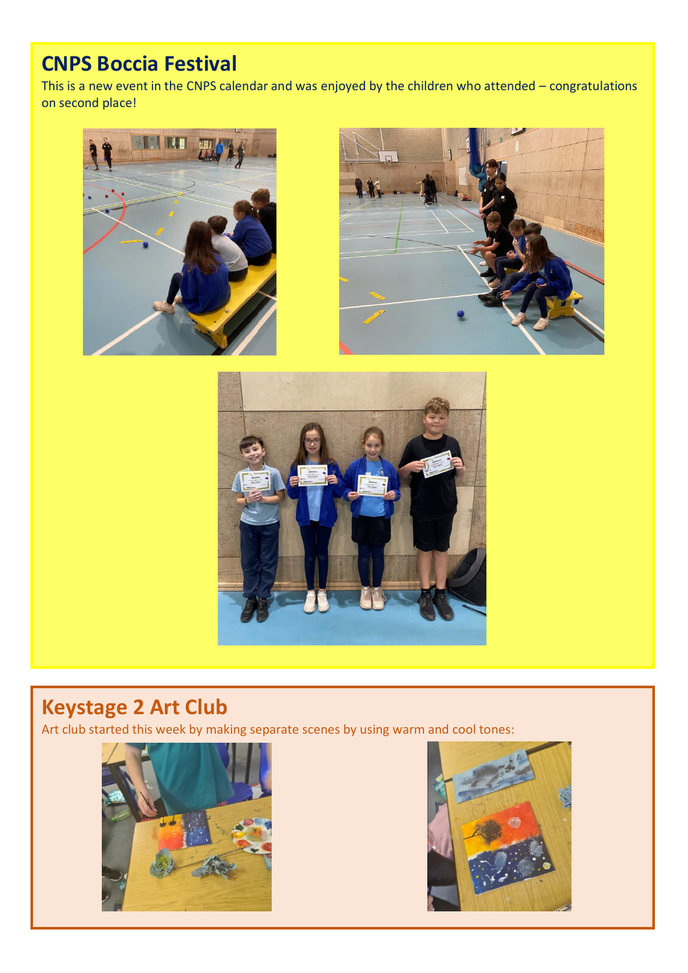## **CNPS Boccia Festival**

This is a new event in the CNPS calendar and was enjoyed by the children who attended – congratulations on second place!







## **Keystage 2 Art Club**

Art club started this week by making separate scenes by using warm and cool tones:



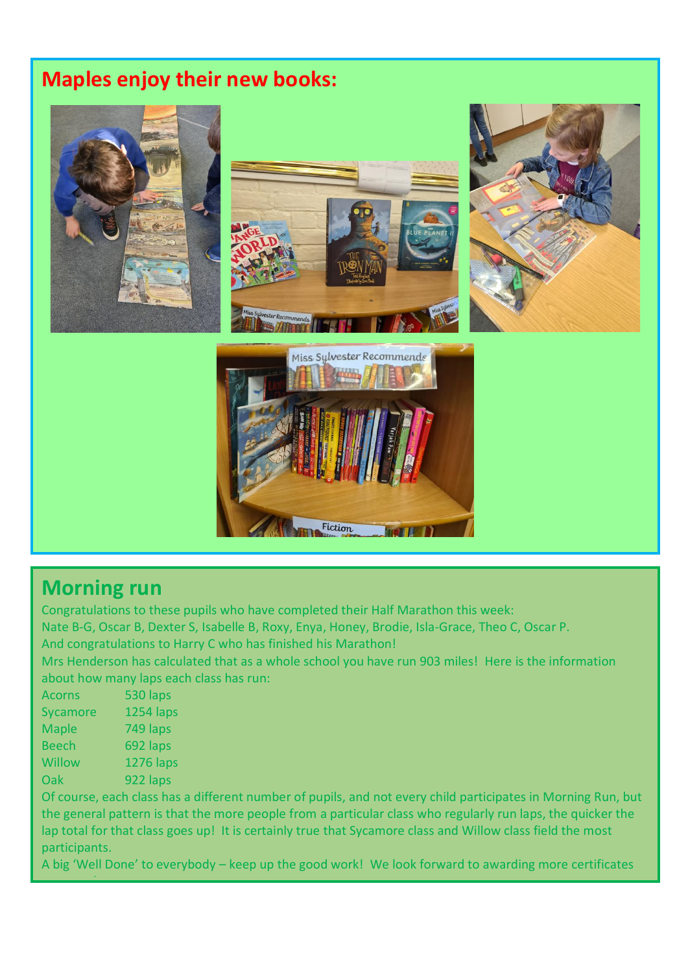## **Maples enjoy their new books:**



### **Morning run**

Congratulations to these pupils who have completed their Half Marathon this week: Nate B-G, Oscar B, Dexter S, Isabelle B, Roxy, Enya, Honey, Brodie, Isla-Grace, Theo C, Oscar P. And congratulations to Harry C who has finished his Marathon!

Mrs Henderson has calculated that as a whole school you have run 903 miles! Here is the information about how many laps each class has run:

| <b>Acorns</b> | 530 laps         |
|---------------|------------------|
| Sycamore      | <b>1254 laps</b> |
| <b>Maple</b>  | 749 laps         |
| <b>Beech</b>  | 692 laps         |
| <b>Willow</b> | <b>1276 laps</b> |
| Oak           | 922 laps         |

next week.

Of course, each class has a different number of pupils, and not every child participates in Morning Run, but the general pattern is that the more people from a particular class who regularly run laps, the quicker the lap total for that class goes up! It is certainly true that Sycamore class and Willow class field the most participants.

A big 'Well Done' to everybody – keep up the good work! We look forward to awarding more certificates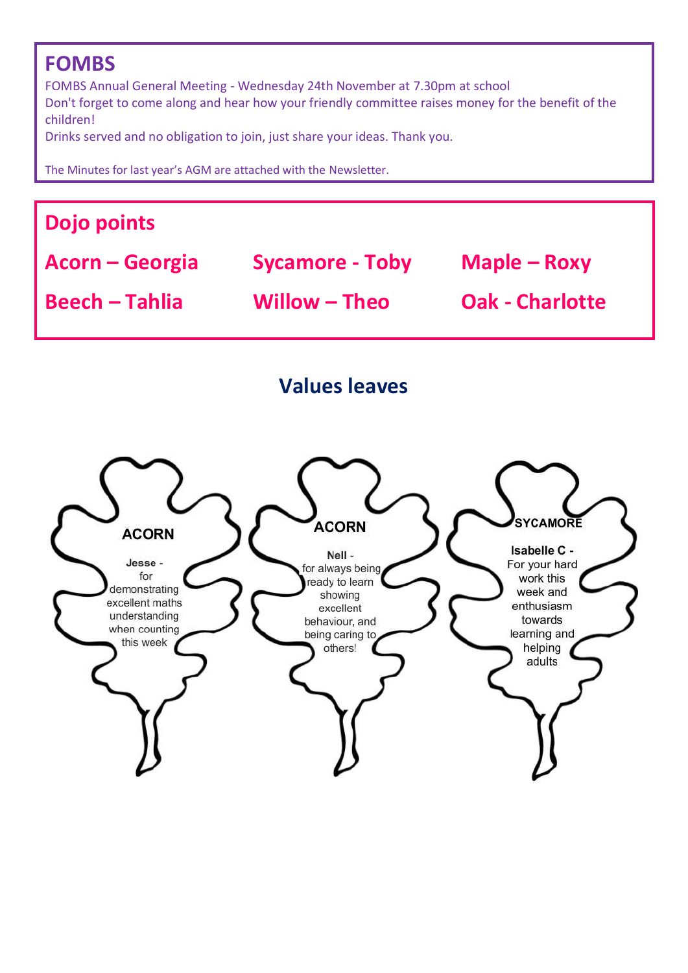## **FOMBS**

FOMBS Annual General Meeting - Wednesday 24th November at 7.30pm at school Don't forget to come along and hear how your friendly committee raises money for the benefit of the children!

Drinks served and no obligation to join, just share your ideas. Thank you.

The Minutes for last year's AGM are attached with the Newsletter.